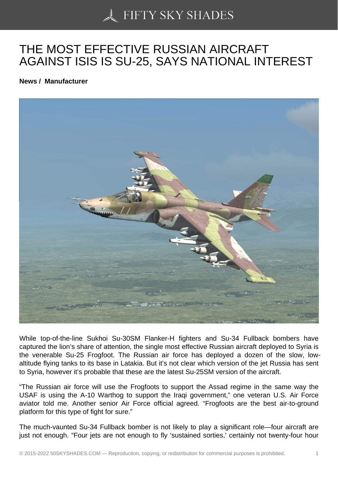## [THE MOST EFFECTIV](https://50skyshades.com)E RUSSIAN AIRCRAFT AGAINST ISIS IS SU-25, SAYS NATIONAL INTEREST

News / Manufacturer

While top-of-the-line Sukhoi Su-30SM Flanker-H fighters and Su-34 Fullback bombers have captured the lion's share of attention, the single most effective Russian aircraft deployed to Syria is the venerable Su-25 Frogfoot. The Russian air force has deployed a dozen of the slow, lowaltitude flying tanks to its base in Latakia. But it's not clear which version of the jet Russia has sent to Syria, however it's probable that these are the latest Su-25SM version of the aircraft.

"The Russian air force will use the Frogfoots to support the Assad regime in the same way the USAF is using the A-10 Warthog to support the Iraqi government," one veteran U.S. Air Force aviator told me. Another senior Air Force official agreed. "Frogfoots are the best air-to-ground platform for this type of fight for sure."

The much-vaunted Su-34 Fullback bomber is not likely to play a significant role—four aircraft are just not enough. "Four jets are not enough to fly 'sustained sorties,' certainly not twenty-four hour